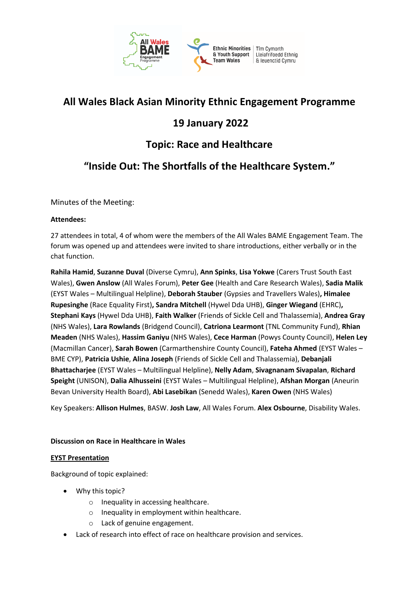

# **All Wales Black Asian Minority Ethnic Engagement Programme**

# **19 January 2022**

# **Topic: Race and Healthcare**

# **"Inside Out: The Shortfalls of the Healthcare System."**

Minutes of the Meeting:

# **Attendees:**

27 attendees in total, 4 of whom were the members of the All Wales BAME Engagement Team. The forum was opened up and attendees were invited to share introductions, either verbally or in the chat function.

**Rahila Hamid**, **Suzanne Duval** (Diverse Cymru), **Ann Spinks**, **Lisa Yokwe** (Carers Trust South East Wales), **Gwen Anslow** (All Wales Forum), **Peter Gee** (Health and Care Research Wales), **Sadia Malik**  (EYST Wales – Multilingual Helpline), **Deborah Stauber** (Gypsies and Travellers Wales)**, Himalee Rupesinghe** (Race Equality First)**, Sandra Mitchell** (Hywel Dda UHB), **Ginger Wiegand** (EHRC)**, Stephani Kays** (Hywel Dda UHB), **Faith Walker** (Friends of Sickle Cell and Thalassemia), **Andrea Gray**  (NHS Wales), **Lara Rowlands** (Bridgend Council), **Catriona Learmont** (TNL Community Fund), **Rhian Meaden** (NHS Wales), **Hassim Ganiyu** (NHS Wales), **Cece Harman** (Powys County Council), **Helen Ley**  (Macmillan Cancer), **Sarah Bowen** (Carmarthenshire County Council), **Fateha Ahmed** (EYST Wales – BME CYP), **Patricia Ushie**, **Alina Joseph** (Friends of Sickle Cell and Thalassemia), **Debanjali Bhattacharjee** (EYST Wales – Multilingual Helpline), **Nelly Adam**, **Sivagnanam Sivapalan**, **Richard Speight** (UNISON), **Dalia Alhusseini** (EYST Wales – Multilingual Helpline), **Afshan Morgan** (Aneurin Bevan University Health Board), **Abi Lasebikan** (Senedd Wales), **Karen Owen** (NHS Wales)

Key Speakers: **Allison Hulmes**, BASW. **Josh Law**, All Wales Forum. **Alex Osbourne**, Disability Wales.

# **Discussion on Race in Healthcare in Wales**

# **EYST Presentation**

Background of topic explained:

- Why this topic?
	- o Inequality in accessing healthcare.
	- o Inequality in employment within healthcare.
	- o Lack of genuine engagement.
- Lack of research into effect of race on healthcare provision and services.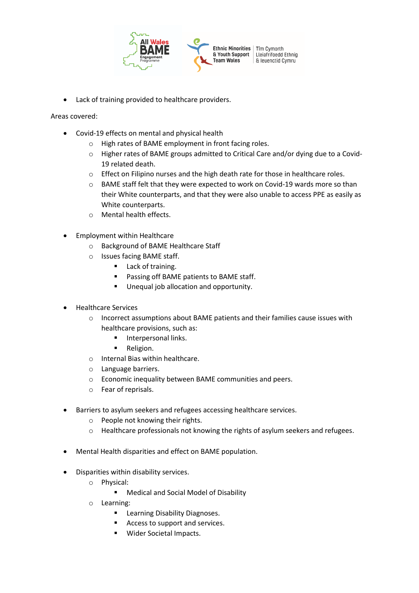

• Lack of training provided to healthcare providers.

## Areas covered:

- Covid-19 effects on mental and physical health
	- o High rates of BAME employment in front facing roles.
	- o Higher rates of BAME groups admitted to Critical Care and/or dying due to a Covid-19 related death.
	- $\circ$  Effect on Filipino nurses and the high death rate for those in healthcare roles.
	- o BAME staff felt that they were expected to work on Covid-19 wards more so than their White counterparts, and that they were also unable to access PPE as easily as White counterparts.
	- o Mental health effects.
- Employment within Healthcare
	- o Background of BAME Healthcare Staff
	- o Issues facing BAME staff.
		- Lack of training.
		- Passing off BAME patients to BAME staff.
		- Unequal job allocation and opportunity.
- Healthcare Services
	- o Incorrect assumptions about BAME patients and their families cause issues with healthcare provisions, such as:
		- Interpersonal links.
		- Religion.
	- o Internal Bias within healthcare.
	- o Language barriers.
	- o Economic inequality between BAME communities and peers.
	- o Fear of reprisals.
- Barriers to asylum seekers and refugees accessing healthcare services.
	- o People not knowing their rights.
	- o Healthcare professionals not knowing the rights of asylum seekers and refugees.
- Mental Health disparities and effect on BAME population.
- Disparities within disability services.
	- o Physical:
		- Medical and Social Model of Disability
	- o Learning:
		- Learning Disability Diagnoses.
		- Access to support and services.
		- Wider Societal Impacts.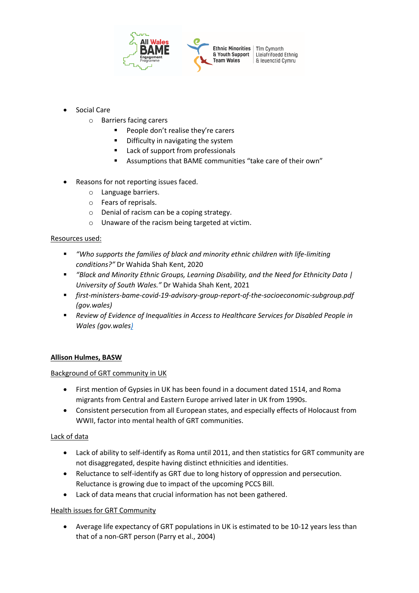

- Social Care
	- o Barriers facing carers
		- People don't realise they're carers
		- Difficulty in navigating the system
		- Lack of support from professionals
		- Assumptions that BAME communities "take care of their own"
- Reasons for not reporting issues faced.
	- o Language barriers.
	- o Fears of reprisals.
	- o Denial of racism can be a coping strategy.
	- o Unaware of the racism being targeted at victim.

# Resources used:

- *"Who supports the families of black and minority ethnic children with life-limiting conditions?"* Dr Wahida Shah Kent, 2020
- *"Black and Minority Ethnic Groups, Learning Disability, and the Need for Ethnicity Data | University of South Wales."* Dr Wahida Shah Kent, 2021
- *first-ministers-bame-covid-19-advisory-group-report-of-the-socioeconomic-subgroup.pdf (gov.wales)*
- *Review of Evidence of Inequalities in Access to Healthcare Services for Disabled People in Wales (gov.wale[s\)](https://gov.wales/sites/default/files/statistics-and-research/2018-12/151015-review-evidence-inequalities-access-healthcare-sevices-disabled-people-en.pdf)*

# **Allison Hulmes, BASW**

#### Background of GRT community in UK

- First mention of Gypsies in UK has been found in a document dated 1514, and Roma migrants from Central and Eastern Europe arrived later in UK from 1990s.
- Consistent persecution from all European states, and especially effects of Holocaust from WWII, factor into mental health of GRT communities.

#### Lack of data

- Lack of ability to self-identify as Roma until 2011, and then statistics for GRT community are not disaggregated, despite having distinct ethnicities and identities.
- Reluctance to self-identify as GRT due to long history of oppression and persecution. Reluctance is growing due to impact of the upcoming PCCS Bill.
- Lack of data means that crucial information has not been gathered.

# Health issues for GRT Community

• Average life expectancy of GRT populations in UK is estimated to be 10-12 years less than that of a non-GRT person (Parry et al., 2004)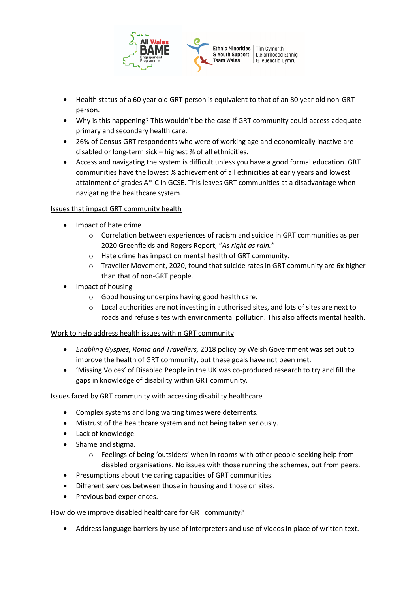

- Health status of a 60 year old GRT person is equivalent to that of an 80 year old non-GRT person.
- Why is this happening? This wouldn't be the case if GRT community could access adequate primary and secondary health care.
- 26% of Census GRT respondents who were of working age and economically inactive are disabled or long-term sick – highest % of all ethnicities.
- Access and navigating the system is difficult unless you have a good formal education. GRT communities have the lowest % achievement of all ethnicities at early years and lowest attainment of grades A\*-C in GCSE. This leaves GRT communities at a disadvantage when navigating the healthcare system.

# Issues that impact GRT community health

- Impact of hate crime
	- o Correlation between experiences of racism and suicide in GRT communities as per 2020 Greenfields and Rogers Report, "*As right as rain."*
	- o Hate crime has impact on mental health of GRT community.
	- $\circ$  Traveller Movement, 2020, found that suicide rates in GRT community are 6x higher than that of non-GRT people.
- Impact of housing
	- o Good housing underpins having good health care.
	- $\circ$  Local authorities are not investing in authorised sites, and lots of sites are next to roads and refuse sites with environmental pollution. This also affects mental health.

# Work to help address health issues within GRT community

- *Enabling Gyspies, Roma and Travellers,* 2018 policy by Welsh Government was set out to improve the health of GRT community, but these goals have not been met.
- 'Missing Voices' of Disabled People in the UK was co-produced research to try and fill the gaps in knowledge of disability within GRT community.

# Issues faced by GRT community with accessing disability healthcare

- Complex systems and long waiting times were deterrents.
- Mistrust of the healthcare system and not being taken seriously.
- Lack of knowledge.
- Shame and stigma.
	- o Feelings of being 'outsiders' when in rooms with other people seeking help from disabled organisations. No issues with those running the schemes, but from peers.
- Presumptions about the caring capacities of GRT communities.
- Different services between those in housing and those on sites.
- Previous bad experiences.

# How do we improve disabled healthcare for GRT community?

• Address language barriers by use of interpreters and use of videos in place of written text.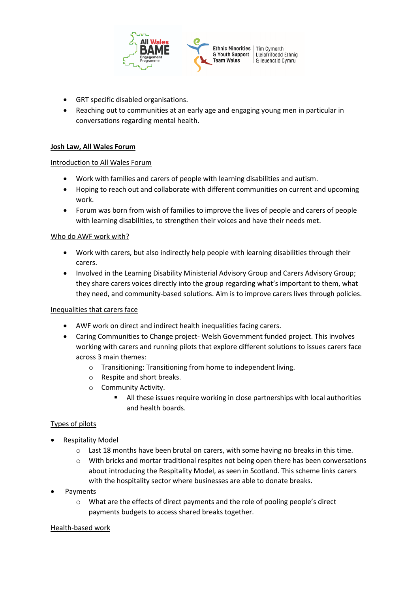

- GRT specific disabled organisations.
- Reaching out to communities at an early age and engaging young men in particular in conversations regarding mental health.

### **Josh Law, All Wales Forum**

## Introduction to All Wales Forum

- Work with families and carers of people with learning disabilities and autism.
- Hoping to reach out and collaborate with different communities on current and upcoming work.
- Forum was born from wish of families to improve the lives of people and carers of people with learning disabilities, to strengthen their voices and have their needs met.

## Who do AWF work with?

- Work with carers, but also indirectly help people with learning disabilities through their carers.
- Involved in the Learning Disability Ministerial Advisory Group and Carers Advisory Group; they share carers voices directly into the group regarding what's important to them, what they need, and community-based solutions. Aim is to improve carers lives through policies.

#### Inequalities that carers face

- AWF work on direct and indirect health inequalities facing carers.
- Caring Communities to Change project- Welsh Government funded project. This involves working with carers and running pilots that explore different solutions to issues carers face across 3 main themes:
	- o Transitioning: Transitioning from home to independent living.
	- o Respite and short breaks.
	- o Community Activity.
		- All these issues require working in close partnerships with local authorities and health boards.

# Types of pilots

- Respitality Model
	- o Last 18 months have been brutal on carers, with some having no breaks in this time.
	- o With bricks and mortar traditional respites not being open there has been conversations about introducing the Respitality Model, as seen in Scotland. This scheme links carers with the hospitality sector where businesses are able to donate breaks.
- Payments
	- o What are the effects of direct payments and the role of pooling people's direct payments budgets to access shared breaks together.

#### Health-based work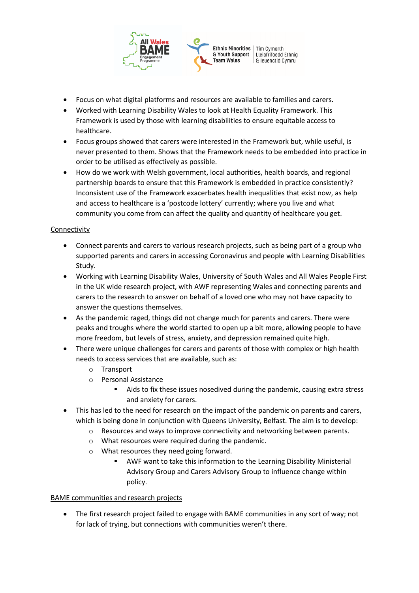

- Focus on what digital platforms and resources are available to families and carers.
- Worked with Learning Disability Wales to look at Health Equality Framework. This Framework is used by those with learning disabilities to ensure equitable access to healthcare.
- Focus groups showed that carers were interested in the Framework but, while useful, is never presented to them. Shows that the Framework needs to be embedded into practice in order to be utilised as effectively as possible.
- How do we work with Welsh government, local authorities, health boards, and regional partnership boards to ensure that this Framework is embedded in practice consistently? Inconsistent use of the Framework exacerbates health inequalities that exist now, as help and access to healthcare is a 'postcode lottery' currently; where you live and what community you come from can affect the quality and quantity of healthcare you get.

# Connectivity

- Connect parents and carers to various research projects, such as being part of a group who supported parents and carers in accessing Coronavirus and people with Learning Disabilities Study.
- Working with Learning Disability Wales, University of South Wales and All Wales People First in the UK wide research project, with AWF representing Wales and connecting parents and carers to the research to answer on behalf of a loved one who may not have capacity to answer the questions themselves.
- As the pandemic raged, things did not change much for parents and carers. There were peaks and troughs where the world started to open up a bit more, allowing people to have more freedom, but levels of stress, anxiety, and depression remained quite high.
- There were unique challenges for carers and parents of those with complex or high health needs to access services that are available, such as:
	- o Transport
	- o Personal Assistance
		- Aids to fix these issues nosedived during the pandemic, causing extra stress and anxiety for carers.
- This has led to the need for research on the impact of the pandemic on parents and carers, which is being done in conjunction with Queens University, Belfast. The aim is to develop:
	- o Resources and ways to improve connectivity and networking between parents.
	- o What resources were required during the pandemic.
	- o What resources they need going forward.
		- AWF want to take this information to the Learning Disability Ministerial Advisory Group and Carers Advisory Group to influence change within policy.

# BAME communities and research projects

• The first research project failed to engage with BAME communities in any sort of way; not for lack of trying, but connections with communities weren't there.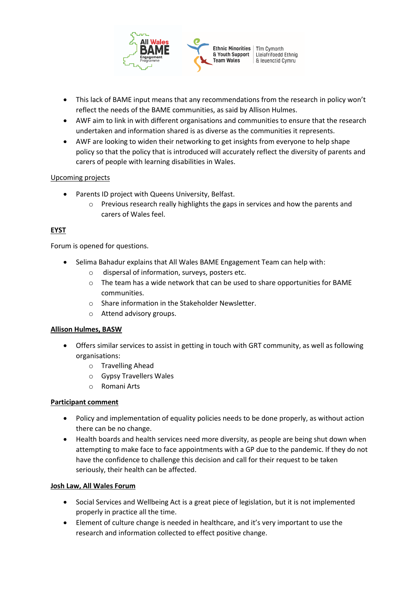

- This lack of BAME input means that any recommendations from the research in policy won't reflect the needs of the BAME communities, as said by Allison Hulmes.
- AWF aim to link in with different organisations and communities to ensure that the research undertaken and information shared is as diverse as the communities it represents.
- AWF are looking to widen their networking to get insights from everyone to help shape policy so that the policy that is introduced will accurately reflect the diversity of parents and carers of people with learning disabilities in Wales.

# Upcoming projects

- Parents ID project with Queens University, Belfast.
	- $\circ$  Previous research really highlights the gaps in services and how the parents and carers of Wales feel.

# **EYST**

Forum is opened for questions.

- Selima Bahadur explains that All Wales BAME Engagement Team can help with:
	- o dispersal of information, surveys, posters etc.
	- $\circ$  The team has a wide network that can be used to share opportunities for BAME communities.
	- o Share information in the Stakeholder Newsletter.
	- o Attend advisory groups.

#### **Allison Hulmes, BASW**

- Offers similar services to assist in getting in touch with GRT community, as well as following organisations:
	- o Travelling Ahead
	- o Gypsy Travellers Wales
	- o Romani Arts

#### **Participant comment**

- Policy and implementation of equality policies needs to be done properly, as without action there can be no change.
- Health boards and health services need more diversity, as people are being shut down when attempting to make face to face appointments with a GP due to the pandemic. If they do not have the confidence to challenge this decision and call for their request to be taken seriously, their health can be affected.

#### **Josh Law, All Wales Forum**

- Social Services and Wellbeing Act is a great piece of legislation, but it is not implemented properly in practice all the time.
- Element of culture change is needed in healthcare, and it's very important to use the research and information collected to effect positive change.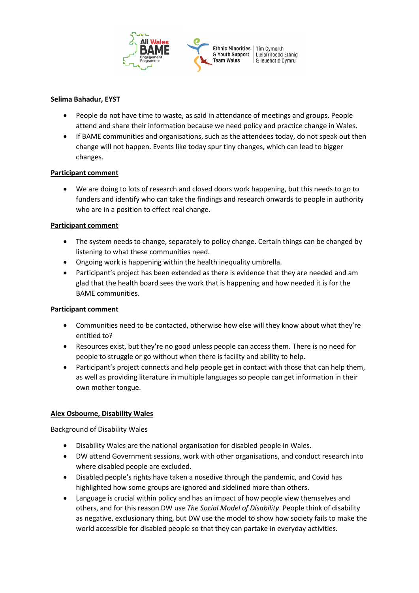

## **Selima Bahadur, EYST**

- People do not have time to waste, as said in attendance of meetings and groups. People attend and share their information because we need policy and practice change in Wales.
- If BAME communities and organisations, such as the attendees today, do not speak out then change will not happen. Events like today spur tiny changes, which can lead to bigger changes.

## **Participant comment**

• We are doing to lots of research and closed doors work happening, but this needs to go to funders and identify who can take the findings and research onwards to people in authority who are in a position to effect real change.

## **Participant comment**

- The system needs to change, separately to policy change. Certain things can be changed by listening to what these communities need.
- Ongoing work is happening within the health inequality umbrella.
- Participant's project has been extended as there is evidence that they are needed and am glad that the health board sees the work that is happening and how needed it is for the BAME communities.

## **Participant comment**

- Communities need to be contacted, otherwise how else will they know about what they're entitled to?
- Resources exist, but they're no good unless people can access them. There is no need for people to struggle or go without when there is facility and ability to help.
- Participant's project connects and help people get in contact with those that can help them, as well as providing literature in multiple languages so people can get information in their own mother tongue.

# **Alex Osbourne, Disability Wales**

#### Background of Disability Wales

- Disability Wales are the national organisation for disabled people in Wales.
- DW attend Government sessions, work with other organisations, and conduct research into where disabled people are excluded.
- Disabled people's rights have taken a nosedive through the pandemic, and Covid has highlighted how some groups are ignored and sidelined more than others.
- Language is crucial within policy and has an impact of how people view themselves and others, and for this reason DW use *The Social Model of Disability*. People think of disability as negative, exclusionary thing, but DW use the model to show how society fails to make the world accessible for disabled people so that they can partake in everyday activities.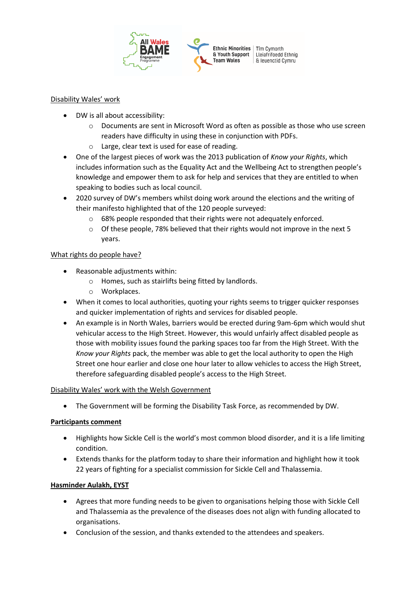

## Disability Wales' work

- DW is all about accessibility:
	- o Documents are sent in Microsoft Word as often as possible as those who use screen readers have difficulty in using these in conjunction with PDFs.
	- o Large, clear text is used for ease of reading.
- One of the largest pieces of work was the 2013 publication of *Know your Rights*, which includes information such as the Equality Act and the Wellbeing Act to strengthen people's knowledge and empower them to ask for help and services that they are entitled to when speaking to bodies such as local council.
- 2020 survey of DW's members whilst doing work around the elections and the writing of their manifesto highlighted that of the 120 people surveyed:
	- o 68% people responded that their rights were not adequately enforced.
	- o Of these people, 78% believed that their rights would not improve in the next 5 years.

# What rights do people have?

- Reasonable adjustments within:
	- o Homes, such as stairlifts being fitted by landlords.
	- o Workplaces.
- When it comes to local authorities, quoting your rights seems to trigger quicker responses and quicker implementation of rights and services for disabled people.
- An example is in North Wales, barriers would be erected during 9am-6pm which would shut vehicular access to the High Street. However, this would unfairly affect disabled people as those with mobility issues found the parking spaces too far from the High Street. With the *Know your Rights* pack, the member was able to get the local authority to open the High Street one hour earlier and close one hour later to allow vehicles to access the High Street, therefore safeguarding disabled people's access to the High Street.

#### Disability Wales' work with the Welsh Government

• The Government will be forming the Disability Task Force, as recommended by DW.

# **Participants comment**

- Highlights how Sickle Cell is the world's most common blood disorder, and it is a life limiting condition.
- Extends thanks for the platform today to share their information and highlight how it took 22 years of fighting for a specialist commission for Sickle Cell and Thalassemia.

# **Hasminder Aulakh, EYST**

- Agrees that more funding needs to be given to organisations helping those with Sickle Cell and Thalassemia as the prevalence of the diseases does not align with funding allocated to organisations.
- Conclusion of the session, and thanks extended to the attendees and speakers.